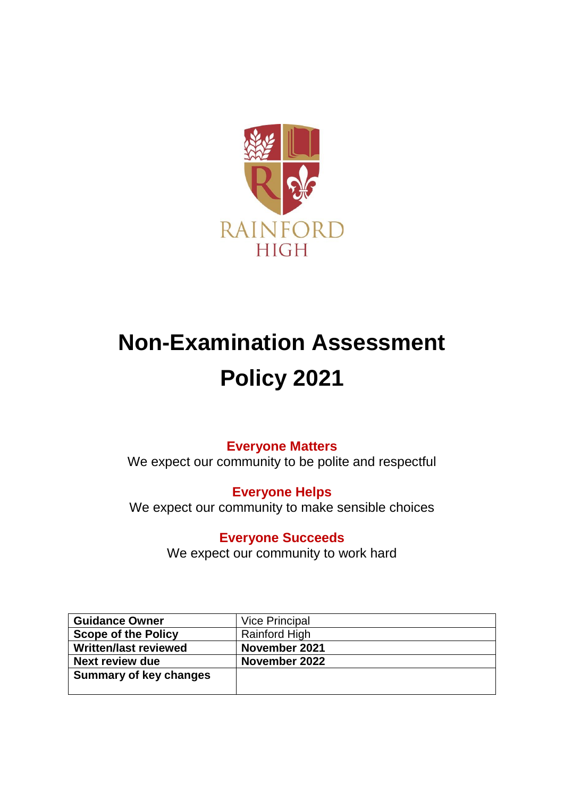

# **Non-Examination Assessment Policy 2021**

# **Everyone Matters**

We expect our community to be polite and respectful

**Everyone Helps**

We expect our community to make sensible choices

**Everyone Succeeds**

We expect our community to work hard

| <b>Guidance Owner</b>         | <b>Vice Principal</b> |
|-------------------------------|-----------------------|
| <b>Scope of the Policy</b>    | <b>Rainford High</b>  |
| <b>Written/last reviewed</b>  | November 2021         |
| <b>Next review due</b>        | November 2022         |
| <b>Summary of key changes</b> |                       |
|                               |                       |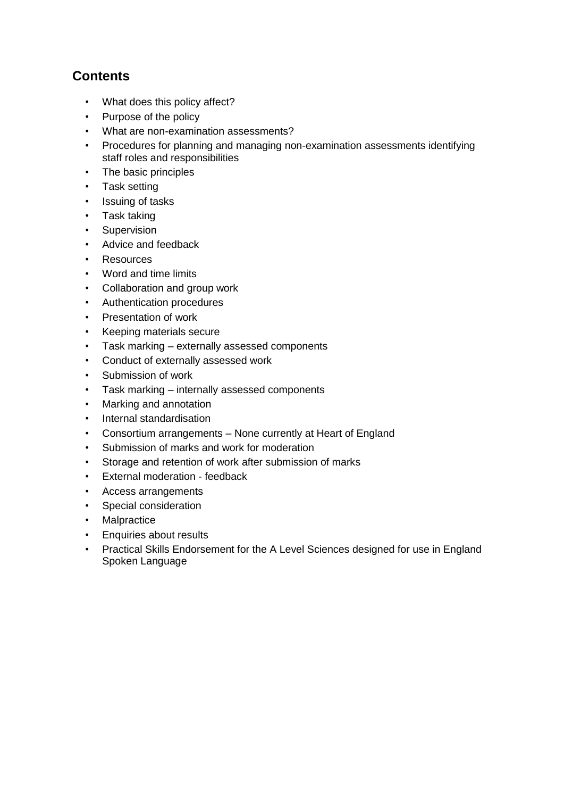# **Contents**

- What does this policy affect?
- Purpose of the policy
- What are non-examination assessments?
- Procedures for planning and managing non-examination assessments identifying staff roles and responsibilities
- The basic principles
- Task setting
- Issuing of tasks
- Task taking
- Supervision
- Advice and feedback
- Resources
- Word and time limits
- Collaboration and group work
- Authentication procedures
- Presentation of work
- Keeping materials secure
- Task marking externally assessed components
- Conduct of externally assessed work
- Submission of work
- Task marking internally assessed components
- Marking and annotation
- Internal standardisation
- Consortium arrangements None currently at Heart of England
- Submission of marks and work for moderation
- Storage and retention of work after submission of marks
- External moderation feedback
- Access arrangements
- Special consideration
- Malpractice
- Enquiries about results
- Practical Skills Endorsement for the A Level Sciences designed for use in England Spoken Language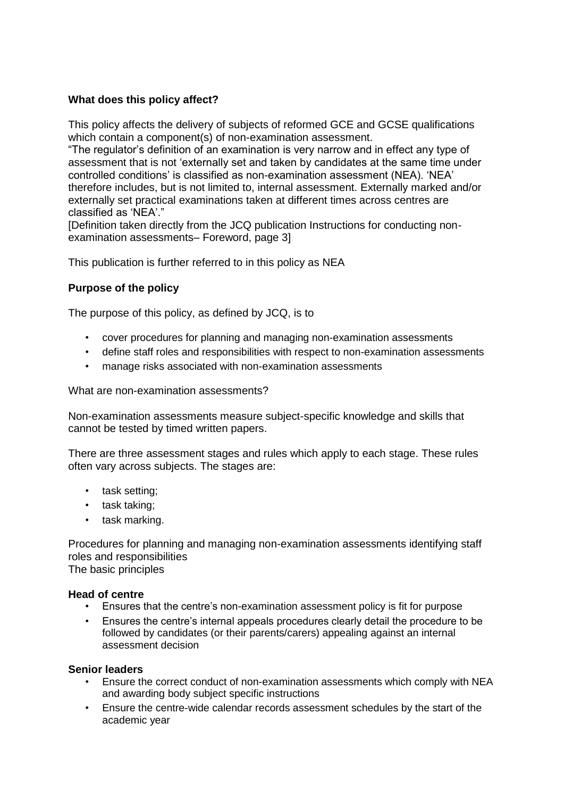# **What does this policy affect?**

This policy affects the delivery of subjects of reformed GCE and GCSE qualifications which contain a component(s) of non-examination assessment.

"The regulator's definition of an examination is very narrow and in effect any type of assessment that is not 'externally set and taken by candidates at the same time under controlled conditions' is classified as non-examination assessment (NEA). 'NEA' therefore includes, but is not limited to, internal assessment. Externally marked and/or externally set practical examinations taken at different times across centres are classified as 'NEA'."

[Definition taken directly from the JCQ publication Instructions for conducting nonexamination assessments– Foreword, page 3]

This publication is further referred to in this policy as NEA

# **Purpose of the policy**

The purpose of this policy, as defined by JCQ, is to

- cover procedures for planning and managing non-examination assessments
- define staff roles and responsibilities with respect to non-examination assessments
- manage risks associated with non-examination assessments

What are non-examination assessments?

Non-examination assessments measure subject-specific knowledge and skills that cannot be tested by timed written papers.

There are three assessment stages and rules which apply to each stage. These rules often vary across subjects. The stages are:

- task setting;
- task taking;
- task marking.

Procedures for planning and managing non-examination assessments identifying staff roles and responsibilities The basic principles

**Head of centre** 

- Ensures that the centre's non-examination assessment policy is fit for purpose
- Ensures the centre's internal appeals procedures clearly detail the procedure to be followed by candidates (or their parents/carers) appealing against an internal assessment decision

#### **Senior leaders**

- Ensure the correct conduct of non-examination assessments which comply with NEA and awarding body subject specific instructions
- Ensure the centre-wide calendar records assessment schedules by the start of the academic year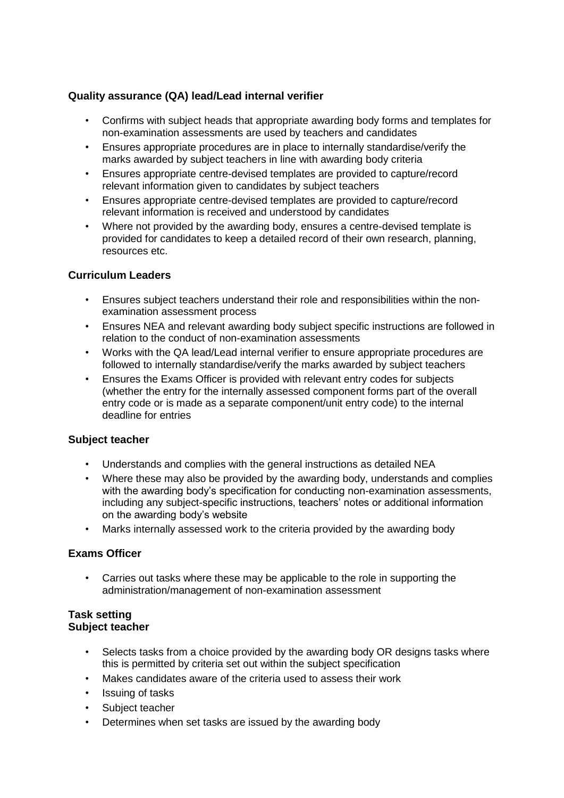# **Quality assurance (QA) lead/Lead internal verifier**

- Confirms with subject heads that appropriate awarding body forms and templates for non-examination assessments are used by teachers and candidates
- Ensures appropriate procedures are in place to internally standardise/verify the marks awarded by subject teachers in line with awarding body criteria
- Ensures appropriate centre-devised templates are provided to capture/record relevant information given to candidates by subject teachers
- Ensures appropriate centre-devised templates are provided to capture/record relevant information is received and understood by candidates
- Where not provided by the awarding body, ensures a centre-devised template is provided for candidates to keep a detailed record of their own research, planning, resources etc.

### **Curriculum Leaders**

- Ensures subject teachers understand their role and responsibilities within the nonexamination assessment process
- Ensures NEA and relevant awarding body subject specific instructions are followed in relation to the conduct of non-examination assessments
- Works with the QA lead/Lead internal verifier to ensure appropriate procedures are followed to internally standardise/verify the marks awarded by subject teachers
- Ensures the Exams Officer is provided with relevant entry codes for subjects (whether the entry for the internally assessed component forms part of the overall entry code or is made as a separate component/unit entry code) to the internal deadline for entries

# **Subject teacher**

- Understands and complies with the general instructions as detailed NEA
- Where these may also be provided by the awarding body, understands and complies with the awarding body's specification for conducting non-examination assessments, including any subject-specific instructions, teachers' notes or additional information on the awarding body's website
- Marks internally assessed work to the criteria provided by the awarding body

#### **Exams Officer**

• Carries out tasks where these may be applicable to the role in supporting the administration/management of non-examination assessment

#### **Task setting Subject teacher**

- Selects tasks from a choice provided by the awarding body OR designs tasks where this is permitted by criteria set out within the subject specification
- Makes candidates aware of the criteria used to assess their work
- Issuing of tasks
- Subject teacher
- Determines when set tasks are issued by the awarding body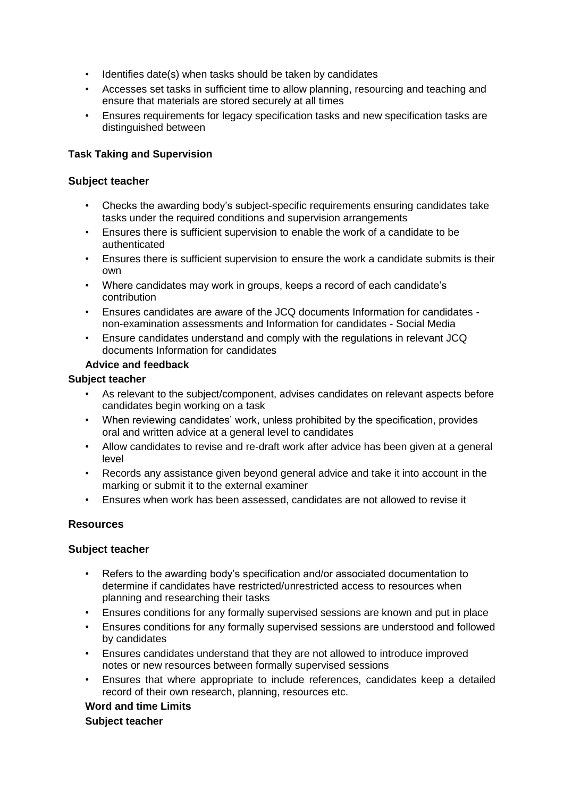- Identifies date(s) when tasks should be taken by candidates
- Accesses set tasks in sufficient time to allow planning, resourcing and teaching and ensure that materials are stored securely at all times
- Ensures requirements for legacy specification tasks and new specification tasks are distinguished between

# **Task Taking and Supervision**

#### **Subject teacher**

- Checks the awarding body's subject-specific requirements ensuring candidates take tasks under the required conditions and supervision arrangements
- Ensures there is sufficient supervision to enable the work of a candidate to be authenticated
- Ensures there is sufficient supervision to ensure the work a candidate submits is their own
- Where candidates may work in groups, keeps a record of each candidate's contribution
- Ensures candidates are aware of the JCQ documents Information for candidates non-examination assessments and Information for candidates - Social Media
- Ensure candidates understand and comply with the regulations in relevant JCQ documents Information for candidates

### **Advice and feedback**

#### **Subject teacher**

- As relevant to the subject/component, advises candidates on relevant aspects before candidates begin working on a task
- When reviewing candidates' work, unless prohibited by the specification, provides oral and written advice at a general level to candidates
- Allow candidates to revise and re-draft work after advice has been given at a general level
- Records any assistance given beyond general advice and take it into account in the marking or submit it to the external examiner
- Ensures when work has been assessed, candidates are not allowed to revise it

# **Resources**

#### **Subject teacher**

- Refers to the awarding body's specification and/or associated documentation to determine if candidates have restricted/unrestricted access to resources when planning and researching their tasks
- Ensures conditions for any formally supervised sessions are known and put in place
- Ensures conditions for any formally supervised sessions are understood and followed by candidates
- Ensures candidates understand that they are not allowed to introduce improved notes or new resources between formally supervised sessions
- Ensures that where appropriate to include references, candidates keep a detailed record of their own research, planning, resources etc.

#### **Word and time Limits**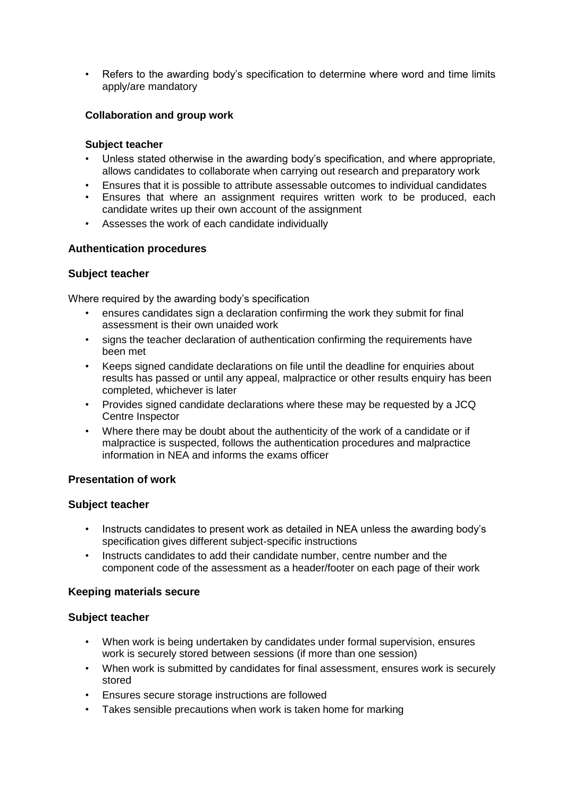• Refers to the awarding body's specification to determine where word and time limits apply/are mandatory

### **Collaboration and group work**

#### **Subject teacher**

- Unless stated otherwise in the awarding body's specification, and where appropriate, allows candidates to collaborate when carrying out research and preparatory work
- Ensures that it is possible to attribute assessable outcomes to individual candidates
- Ensures that where an assignment requires written work to be produced, each candidate writes up their own account of the assignment
- Assesses the work of each candidate individually

### **Authentication procedures**

### **Subject teacher**

Where required by the awarding body's specification

- ensures candidates sign a declaration confirming the work they submit for final assessment is their own unaided work
- signs the teacher declaration of authentication confirming the requirements have been met
- Keeps signed candidate declarations on file until the deadline for enquiries about results has passed or until any appeal, malpractice or other results enquiry has been completed, whichever is later
- Provides signed candidate declarations where these may be requested by a JCQ Centre Inspector
- Where there may be doubt about the authenticity of the work of a candidate or if malpractice is suspected, follows the authentication procedures and malpractice information in NEA and informs the exams officer

#### **Presentation of work**

#### **Subject teacher**

- Instructs candidates to present work as detailed in NEA unless the awarding body's specification gives different subject-specific instructions
- Instructs candidates to add their candidate number, centre number and the component code of the assessment as a header/footer on each page of their work

# **Keeping materials secure**

- When work is being undertaken by candidates under formal supervision, ensures work is securely stored between sessions (if more than one session)
- When work is submitted by candidates for final assessment, ensures work is securely stored
- Ensures secure storage instructions are followed
- Takes sensible precautions when work is taken home for marking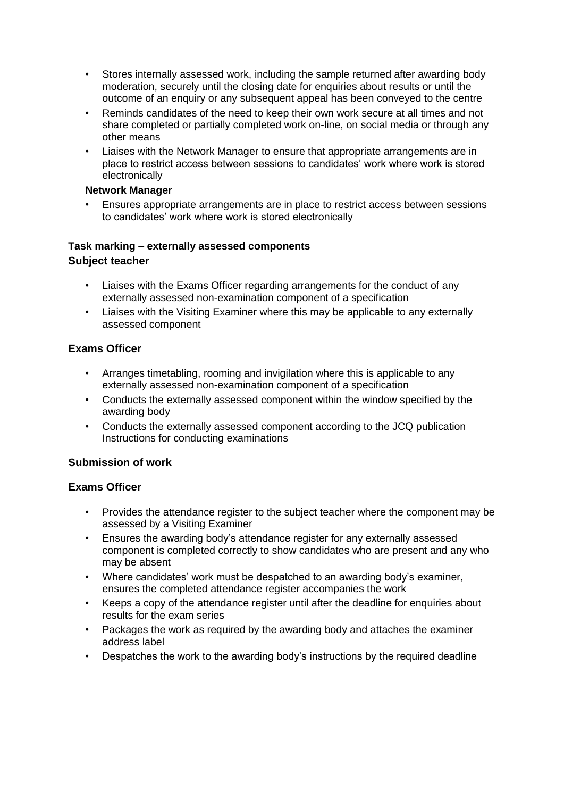- Stores internally assessed work, including the sample returned after awarding body moderation, securely until the closing date for enquiries about results or until the outcome of an enquiry or any subsequent appeal has been conveyed to the centre
- Reminds candidates of the need to keep their own work secure at all times and not share completed or partially completed work on-line, on social media or through any other means
- Liaises with the Network Manager to ensure that appropriate arrangements are in place to restrict access between sessions to candidates' work where work is stored electronically

### **Network Manager**

• Ensures appropriate arrangements are in place to restrict access between sessions to candidates' work where work is stored electronically

# **Task marking – externally assessed components Subject teacher**

- Liaises with the Exams Officer regarding arrangements for the conduct of any externally assessed non-examination component of a specification
- Liaises with the Visiting Examiner where this may be applicable to any externally assessed component

# **Exams Officer**

- Arranges timetabling, rooming and invigilation where this is applicable to any externally assessed non-examination component of a specification
- Conducts the externally assessed component within the window specified by the awarding body
- Conducts the externally assessed component according to the JCQ publication Instructions for conducting examinations

# **Submission of work**

#### **Exams Officer**

- Provides the attendance register to the subject teacher where the component may be assessed by a Visiting Examiner
- Ensures the awarding body's attendance register for any externally assessed component is completed correctly to show candidates who are present and any who may be absent
- Where candidates' work must be despatched to an awarding body's examiner, ensures the completed attendance register accompanies the work
- Keeps a copy of the attendance register until after the deadline for enquiries about results for the exam series
- Packages the work as required by the awarding body and attaches the examiner address label
- Despatches the work to the awarding body's instructions by the required deadline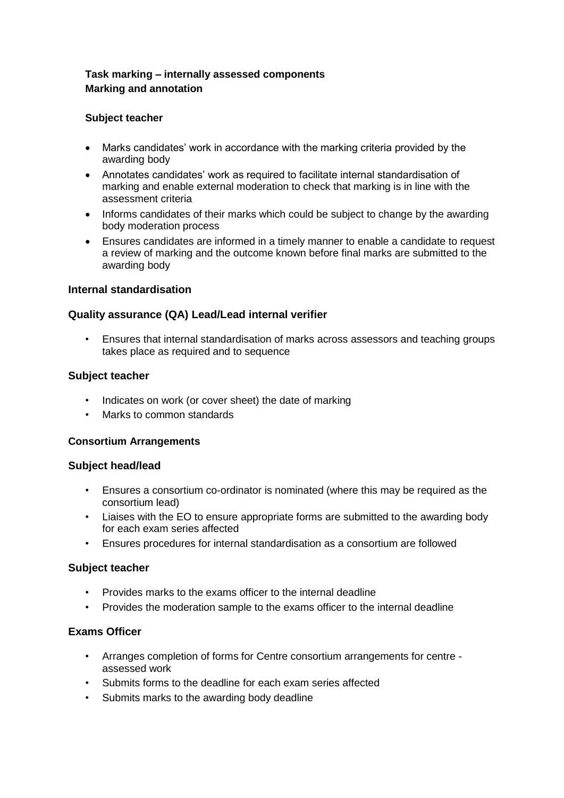# **Task marking – internally assessed components Marking and annotation**

### **Subject teacher**

- Marks candidates' work in accordance with the marking criteria provided by the awarding body
- Annotates candidates' work as required to facilitate internal standardisation of marking and enable external moderation to check that marking is in line with the assessment criteria
- Informs candidates of their marks which could be subject to change by the awarding body moderation process
- Ensures candidates are informed in a timely manner to enable a candidate to request a review of marking and the outcome known before final marks are submitted to the awarding body

#### **Internal standardisation**

### **Quality assurance (QA) Lead/Lead internal verifier**

• Ensures that internal standardisation of marks across assessors and teaching groups takes place as required and to sequence

#### **Subject teacher**

- Indicates on work (or cover sheet) the date of marking
- Marks to common standards

#### **Consortium Arrangements**

#### **Subject head/lead**

- Ensures a consortium co-ordinator is nominated (where this may be required as the consortium lead)
- Liaises with the EO to ensure appropriate forms are submitted to the awarding body for each exam series affected
- Ensures procedures for internal standardisation as a consortium are followed

#### **Subject teacher**

- Provides marks to the exams officer to the internal deadline
- Provides the moderation sample to the exams officer to the internal deadline

#### **Exams Officer**

- Arranges completion of forms for Centre consortium arrangements for centre assessed work
- Submits forms to the deadline for each exam series affected
- Submits marks to the awarding body deadline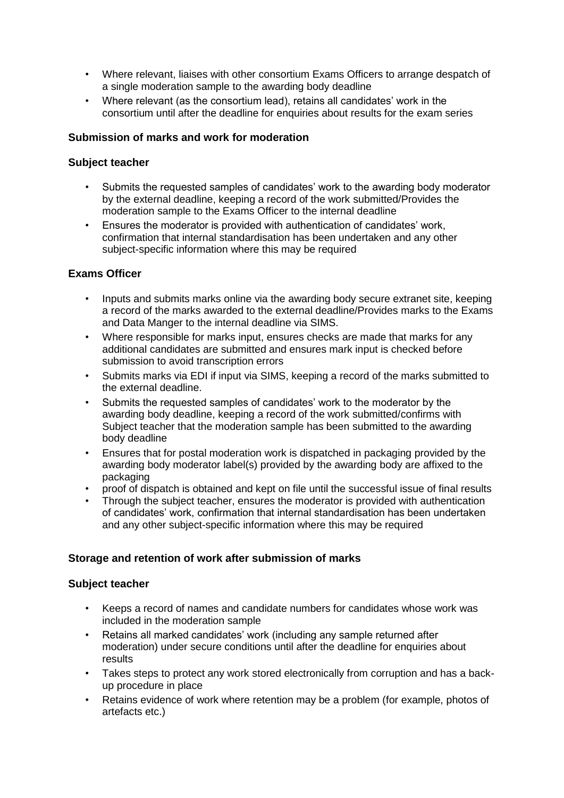- Where relevant, liaises with other consortium Exams Officers to arrange despatch of a single moderation sample to the awarding body deadline
- Where relevant (as the consortium lead), retains all candidates' work in the consortium until after the deadline for enquiries about results for the exam series

#### **Submission of marks and work for moderation**

#### **Subject teacher**

- Submits the requested samples of candidates' work to the awarding body moderator by the external deadline, keeping a record of the work submitted/Provides the moderation sample to the Exams Officer to the internal deadline
- Ensures the moderator is provided with authentication of candidates' work, confirmation that internal standardisation has been undertaken and any other subject-specific information where this may be required

### **Exams Officer**

- Inputs and submits marks online via the awarding body secure extranet site, keeping a record of the marks awarded to the external deadline/Provides marks to the Exams and Data Manger to the internal deadline via SIMS.
- Where responsible for marks input, ensures checks are made that marks for any additional candidates are submitted and ensures mark input is checked before submission to avoid transcription errors
- Submits marks via EDI if input via SIMS, keeping a record of the marks submitted to the external deadline.
- Submits the requested samples of candidates' work to the moderator by the awarding body deadline, keeping a record of the work submitted/confirms with Subject teacher that the moderation sample has been submitted to the awarding body deadline
- Ensures that for postal moderation work is dispatched in packaging provided by the awarding body moderator label(s) provided by the awarding body are affixed to the packaging
- proof of dispatch is obtained and kept on file until the successful issue of final results
- Through the subject teacher, ensures the moderator is provided with authentication of candidates' work, confirmation that internal standardisation has been undertaken and any other subject-specific information where this may be required

#### **Storage and retention of work after submission of marks**

- Keeps a record of names and candidate numbers for candidates whose work was included in the moderation sample
- Retains all marked candidates' work (including any sample returned after moderation) under secure conditions until after the deadline for enquiries about results
- Takes steps to protect any work stored electronically from corruption and has a backup procedure in place
- Retains evidence of work where retention may be a problem (for example, photos of artefacts etc.)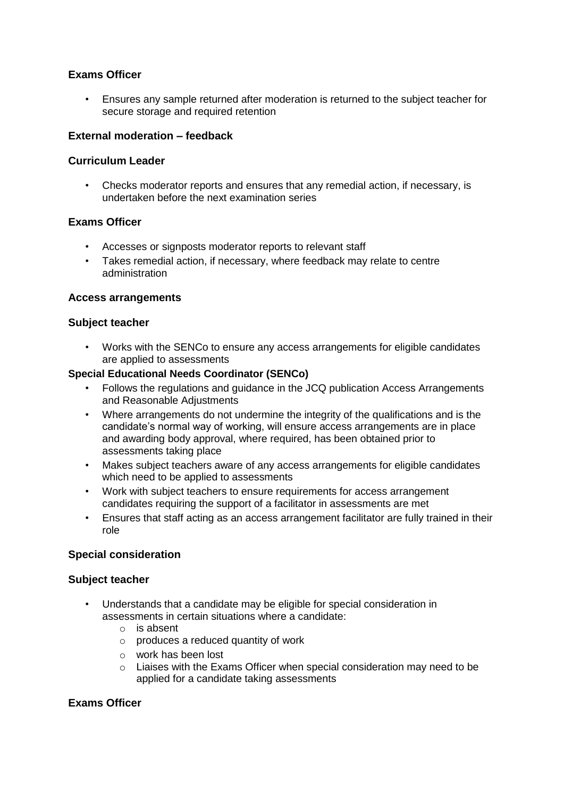# **Exams Officer**

• Ensures any sample returned after moderation is returned to the subject teacher for secure storage and required retention

#### **External moderation – feedback**

#### **Curriculum Leader**

• Checks moderator reports and ensures that any remedial action, if necessary, is undertaken before the next examination series

#### **Exams Officer**

- Accesses or signposts moderator reports to relevant staff
- Takes remedial action, if necessary, where feedback may relate to centre administration

#### **Access arrangements**

#### **Subject teacher**

• Works with the SENCo to ensure any access arrangements for eligible candidates are applied to assessments

#### **Special Educational Needs Coordinator (SENCo)**

- Follows the regulations and guidance in the JCQ publication Access Arrangements and Reasonable Adjustments
- Where arrangements do not undermine the integrity of the qualifications and is the candidate's normal way of working, will ensure access arrangements are in place and awarding body approval, where required, has been obtained prior to assessments taking place
- Makes subject teachers aware of any access arrangements for eligible candidates which need to be applied to assessments
- Work with subject teachers to ensure requirements for access arrangement candidates requiring the support of a facilitator in assessments are met
- Ensures that staff acting as an access arrangement facilitator are fully trained in their role

#### **Special consideration**

#### **Subject teacher**

- Understands that a candidate may be eligible for special consideration in assessments in certain situations where a candidate:
	- o is absent
	- o produces a reduced quantity of work
	- o work has been lost
	- o Liaises with the Exams Officer when special consideration may need to be applied for a candidate taking assessments

#### **Exams Officer**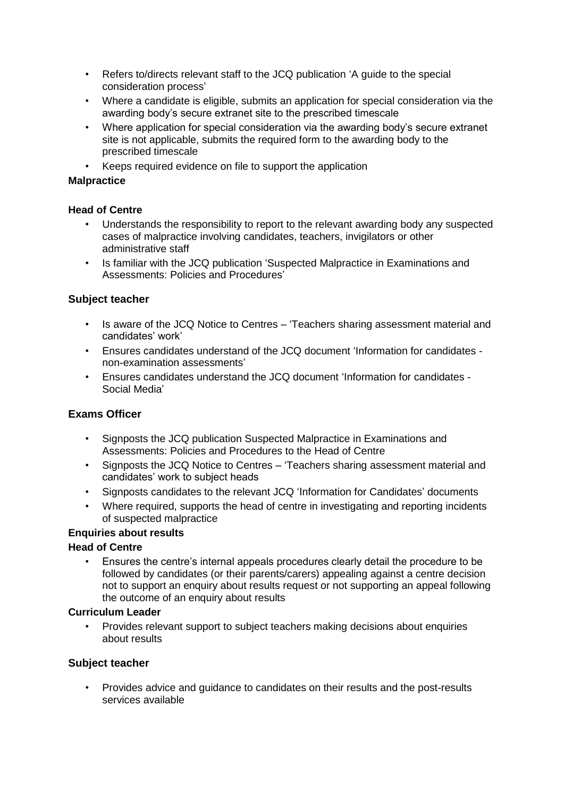- Refers to/directs relevant staff to the JCQ publication 'A guide to the special consideration process'
- Where a candidate is eligible, submits an application for special consideration via the awarding body's secure extranet site to the prescribed timescale
- Where application for special consideration via the awarding body's secure extranet site is not applicable, submits the required form to the awarding body to the prescribed timescale
- Keeps required evidence on file to support the application

#### **Malpractice**

#### **Head of Centre**

- Understands the responsibility to report to the relevant awarding body any suspected cases of malpractice involving candidates, teachers, invigilators or other administrative staff
- Is familiar with the JCQ publication 'Suspected Malpractice in Examinations and Assessments: Policies and Procedures'

#### **Subject teacher**

- Is aware of the JCQ Notice to Centres 'Teachers sharing assessment material and candidates' work'
- Ensures candidates understand of the JCQ document 'Information for candidates non-examination assessments'
- Ensures candidates understand the JCQ document 'Information for candidates Social Media'

#### **Exams Officer**

- Signposts the JCQ publication Suspected Malpractice in Examinations and Assessments: Policies and Procedures to the Head of Centre
- Signposts the JCQ Notice to Centres 'Teachers sharing assessment material and candidates' work to subject heads
- Signposts candidates to the relevant JCQ 'Information for Candidates' documents
- Where required, supports the head of centre in investigating and reporting incidents of suspected malpractice

#### **Enquiries about results**

#### **Head of Centre**

• Ensures the centre's internal appeals procedures clearly detail the procedure to be followed by candidates (or their parents/carers) appealing against a centre decision not to support an enquiry about results request or not supporting an appeal following the outcome of an enquiry about results

#### **Curriculum Leader**

• Provides relevant support to subject teachers making decisions about enquiries about results

#### **Subject teacher**

• Provides advice and guidance to candidates on their results and the post-results services available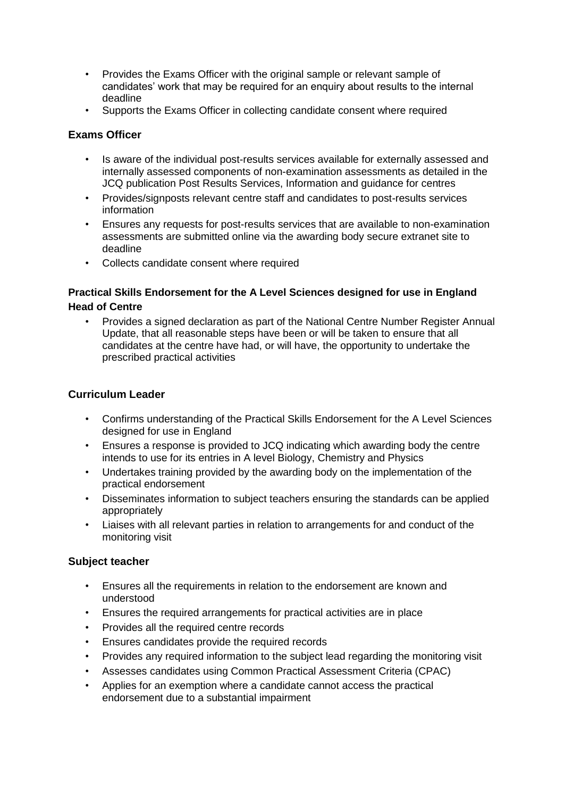- Provides the Exams Officer with the original sample or relevant sample of candidates' work that may be required for an enquiry about results to the internal deadline
- Supports the Exams Officer in collecting candidate consent where required

# **Exams Officer**

- Is aware of the individual post-results services available for externally assessed and internally assessed components of non-examination assessments as detailed in the JCQ publication Post Results Services, Information and guidance for centres
- Provides/signposts relevant centre staff and candidates to post-results services information
- Ensures any requests for post-results services that are available to non-examination assessments are submitted online via the awarding body secure extranet site to deadline
- Collects candidate consent where required

# **Practical Skills Endorsement for the A Level Sciences designed for use in England Head of Centre**

• Provides a signed declaration as part of the National Centre Number Register Annual Update, that all reasonable steps have been or will be taken to ensure that all candidates at the centre have had, or will have, the opportunity to undertake the prescribed practical activities

# **Curriculum Leader**

- Confirms understanding of the Practical Skills Endorsement for the A Level Sciences designed for use in England
- Ensures a response is provided to JCQ indicating which awarding body the centre intends to use for its entries in A level Biology, Chemistry and Physics
- Undertakes training provided by the awarding body on the implementation of the practical endorsement
- Disseminates information to subject teachers ensuring the standards can be applied appropriately
- Liaises with all relevant parties in relation to arrangements for and conduct of the monitoring visit

- Ensures all the requirements in relation to the endorsement are known and understood
- Ensures the required arrangements for practical activities are in place
- Provides all the required centre records
- Ensures candidates provide the required records
- Provides any required information to the subject lead regarding the monitoring visit
- Assesses candidates using Common Practical Assessment Criteria (CPAC)
- Applies for an exemption where a candidate cannot access the practical endorsement due to a substantial impairment